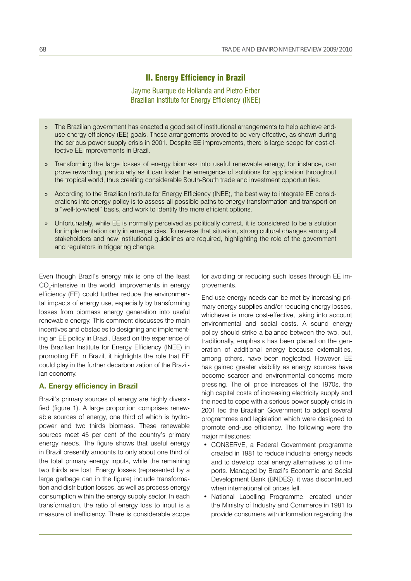# II. Energy Efficiency in Brazil

Jayme Buarque de Hollanda and Pietro Erber Brazilian Institute for Energy Efficiency (INEE)

- » The Brazilian government has enacted a good set of institutional arrangements to help achieve enduse energy efficiency (EE) goals. These arrangements proved to be very effective, as shown during the serious power supply crisis in 2001. Despite EE improvements, there is large scope for cost-effective EE improvements in Brazil.
- Transforming the large losses of energy biomass into useful renewable energy, for instance, can » prove rewarding, particularly as it can foster the emergence of solutions for application throughout the tropical world, thus creating considerable South-South trade and investment opportunities.
- » According to the Brazilian Institute for Energy Efficiency (INEE), the best way to integrate EE considerations into energy policy is to assess all possible paths to energy transformation and transport on a "well-to-wheel" basis, and work to identify the more efficient options.
- » Unfortunately, while EE is normally perceived as politically correct, it is considered to be a solution for implementation only in emergencies. To reverse that situation, strong cultural changes among all stakeholders and new institutional guidelines are required, highlighting the role of the government and regulators in triggering change.

Even though Brazil's energy mix is one of the least  $CO_{2}$ -intensive in the world, improvements in energy efficiency (EE) could further reduce the environmental impacts of energy use, especially by transforming losses from biomass energy generation into useful renewable energy. This comment discusses the main incentives and obstacles to designing and implementing an EE policy in Brazil. Based on the experience of the Brazilian Institute for Energy Efficiency (INEE) in promoting EE in Brazil, it highlights the role that EE could play in the further decarbonization of the Brazilian economy.

# **A. Energy efficiency in Brazil**

Brazil's primary sources of energy are highly diversified (figure 1). A large proportion comprises renewable sources of energy, one third of which is hydropower and two thirds biomass. These renewable sources meet 45 per cent of the country's primary energy needs. The figure shows that useful energy in Brazil presently amounts to only about one third of the total primary energy inputs, while the remaining two thirds are lost. Energy losses (represented by a large garbage can in the figure) include transformation and distribution losses, as well as process energy consumption within the energy supply sector. In each transformation, the ratio of energy loss to input is a measure of inefficiency. There is considerable scope for avoiding or reducing such losses through EE improvements.

End-use energy needs can be met by increasing primary energy supplies and/or reducing energy losses, whichever is more cost-effective, taking into account environmental and social costs. A sound energy policy should strike a balance between the two, but, traditionally, emphasis has been placed on the generation of additional energy because externalities, among others, have been neglected. However, EE has gained greater visibility as energy sources have become scarcer and environmental concerns more pressing. The oil price increases of the 1970s, the high capital costs of increasing electricity supply and the need to cope with a serious power supply crisis in 2001 led the Brazilian Government to adopt several programmes and legislation which were designed to promote end-use efficiency. The following were the major milestones:

- CONSERVE, a Federal Government programme created in 1981 to reduce industrial energy needs and to develop local energy alternatives to oil imports. Managed by Brazil's Economic and Social Development Bank (BNDES), it was discontinued when international oil prices fell.
- National Labelling Programme, created under the Ministry of Industry and Commerce in 1981 to provide consumers with information regarding the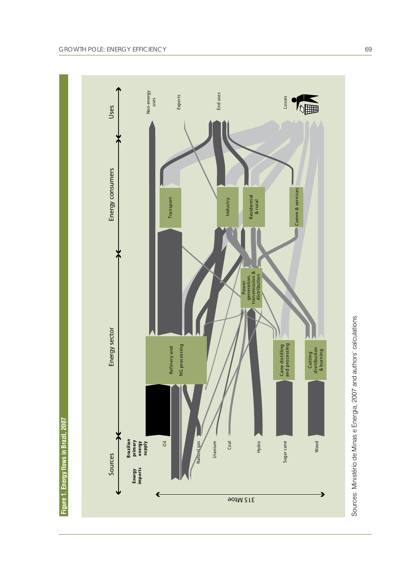

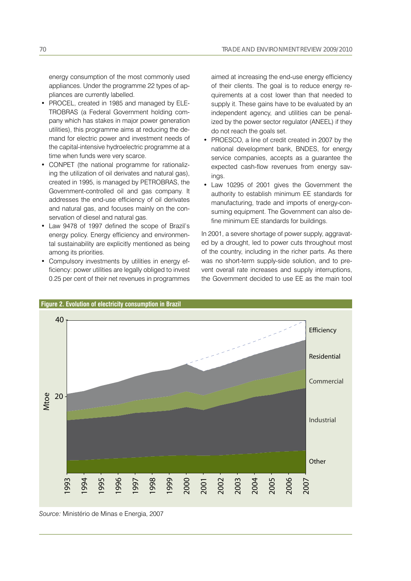energy consumption of the most commonly used appliances. Under the programme 22 types of appliances are currently labelled.

- PROCEL, created in 1985 and managed by ELE-TROBRAS (a Federal Government holding company which has stakes in major power generation utilities), this programme aims at reducing the demand for electric power and investment needs of the capital-intensive hydroelectric programme at a time when funds were very scarce.
- CONPET (the national programme for rationalizing the utilization of oil derivates and natural gas), created in 1995, is managed by PETROBRAS, the Government-controlled oil and gas company. It addresses the end-use efficiency of oil derivates and natural gas, and focuses mainly on the conservation of diesel and natural gas.
- Law 9478 of 1997 defined the scope of Brazil's energy policy. Energy efficiency and environmental sustainability are explicitly mentioned as being among its priorities.
- Compulsory investments by utilities in energy efficiency: power utilities are legally obliged to invest 0.25 per cent of their net revenues in programmes

aimed at increasing the end-use energy efficiency of their clients. The goal is to reduce energy requirements at a cost lower than that needed to supply it. These gains have to be evaluated by an independent agency, and utilities can be penalized by the power sector regulator (ANEEL) if they do not reach the goals set.

- PROESCO, a line of credit created in 2007 by the national development bank, BNDES, for energy service companies, accepts as a guarantee the expected cash-flow revenues from energy savings.
- Law 10295 of 2001 gives the Government the authority to establish minimum EE standards for manufacturing, trade and imports of energy-consuming equipment. The Government can also define minimum EE standards for buildings.

In 2001, a severe shortage of power supply, aggravated by a drought, led to power cuts throughout most of the country, including in the richer parts. As there was no short-term supply-side solution, and to prevent overall rate increases and supply interruptions, the Government decided to use EE as the main tool



*Source:* Ministério de Minas e Energia, 2007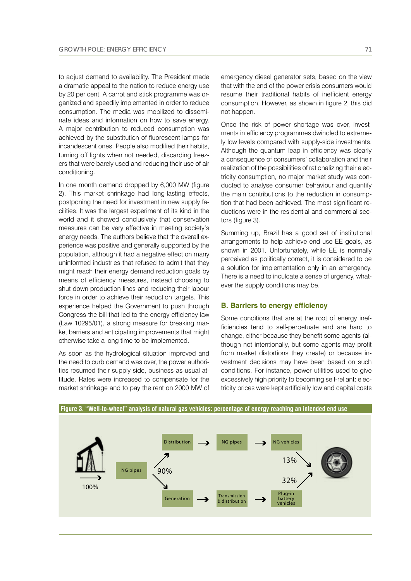to adjust demand to availability. The President made a dramatic appeal to the nation to reduce energy use by 20 per cent. A carrot and stick programme was organized and speedily implemented in order to reduce consumption. The media was mobilized to disseminate ideas and information on how to save energy. A major contribution to reduced consumption was achieved by the substitution of fluorescent lamps for incandescent ones. People also modified their habits, turning off lights when not needed, discarding freezers that were barely used and reducing their use of air conditioning.

In one month demand dropped by 6,000 MW (figure 2). This market shrinkage had long-lasting effects, postponing the need for investment in new supply facilities. It was the largest experiment of its kind in the world and it showed conclusively that conservation measures can be very effective in meeting society's energy needs. The authors believe that the overall experience was positive and generally supported by the population, although it had a negative effect on many uninformed industries that refused to admit that they might reach their energy demand reduction goals by means of efficiency measures, instead choosing to shut down production lines and reducing their labour force in order to achieve their reduction targets. This experience helped the Government to push through Congress the bill that led to the energy efficiency law (Law 10295/01), a strong measure for breaking market barriers and anticipating improvements that might otherwise take a long time to be implemented.

As soon as the hydrological situation improved and the need to curb demand was over, the power authorities resumed their supply-side, business-as-usual attitude. Rates were increased to compensate for the market shrinkage and to pay the rent on 2000 MW of

Once the risk of power shortage was over, investments in efficiency programmes dwindled to extremely low levels compared with supply-side investments. Although the quantum leap in efficiency was clearly a consequence of consumers' collaboration and their realization of the possibilities of rationalizing their electricity consumption, no major market study was conducted to analyse consumer behaviour and quantify the main contributions to the reduction in consumption that had been achieved. The most significant reductions were in the residential and commercial sectors (figure 3).

Summing up, Brazil has a good set of institutional arrangements to help achieve end-use EE goals, as shown in 2001. Unfortunately, while EE is normally perceived as politically correct, it is considered to be a solution for implementation only in an emergency. There is a need to inculcate a sense of urgency, whatever the supply conditions may be.

# **B. Barriers to energy efficiency**

Some conditions that are at the root of energy inefficiencies tend to self-perpetuate and are hard to change, either because they benefit some agents (although not intentionally, but some agents may profit from market distortions they create) or because investment decisions may have been based on such conditions. For instance, power utilities used to give excessively high priority to becoming self-reliant: electricity prices were kept artificially low and capital costs

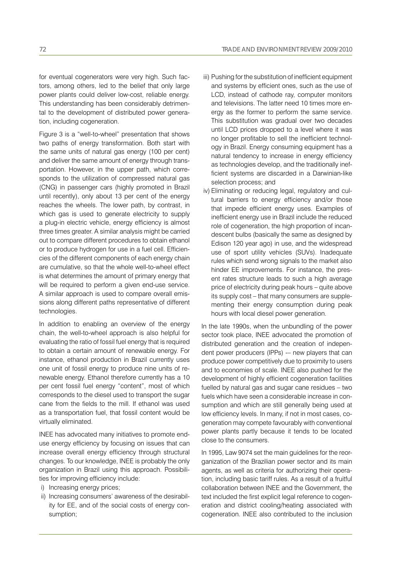for eventual cogenerators were very high. Such factors, among others, led to the belief that only large power plants could deliver low-cost, reliable energy. This understanding has been considerably detrimental to the development of distributed power generation, including cogeneration.

Figure 3 is a "well-to-wheel" presentation that shows two paths of energy transformation. Both start with the same units of natural gas energy (100 per cent) and deliver the same amount of energy through transportation. However, in the upper path, which corresponds to the utilization of compressed natural gas (CNG) in passenger cars (highly promoted in Brazil until recently), only about 13 per cent of the energy reaches the wheels. The lower path, by contrast, in which gas is used to generate electricity to supply a plug-in electric vehicle, energy efficiency is almost three times greater. A similar analysis might be carried out to compare different procedures to obtain ethanol or to produce hydrogen for use in a fuel cell. Efficiencies of the different components of each energy chain are cumulative, so that the whole well-to-wheel effect is what determines the amount of primary energy that will be required to perform a given end-use service. A similar approach is used to compare overall emissions along different paths representative of different technologies.

In addition to enabling an overview of the energy chain, the well-to-wheel approach is also helpful for evaluating the ratio of fossil fuel energy that is required to obtain a certain amount of renewable energy. For instance, ethanol production in Brazil currently uses one unit of fossil energy to produce nine units of renewable energy. Ethanol therefore currently has a 10 per cent fossil fuel energy "content", most of which corresponds to the diesel used to transport the sugar cane from the fields to the mill. If ethanol was used as a transportation fuel, that fossil content would be virtually eliminated.

INEE has advocated many initiatives to promote enduse energy efficiency by focusing on issues that can increase overall energy efficiency through structural changes. To our knowledge, INEE is probably the only organization in Brazil using this approach. Possibilities for improving efficiency include:

- i) Increasing energy prices;
- ii) Increasing consumers' awareness of the desirability for EE, and of the social costs of energy consumption;
- iii) Pushing for the substitution of inefficient equipment and systems by efficient ones, such as the use of LCD, instead of cathode ray, computer monitors and televisions. The latter need 10 times more energy as the former to perform the same service. This substitution was gradual over two decades until LCD prices dropped to a level where it was no longer profitable to sell the inefficient technology in Brazil. Energy consuming equipment has a natural tendency to increase in energy efficiency as technologies develop, and the traditionally inefficient systems are discarded in a Darwinian-like selection process; and
- iv) Eliminating or reducing legal, regulatory and cultural barriers to energy efficiency and/or those that impede efficient energy uses. Examples of inefficient energy use in Brazil include the reduced role of cogeneration, the high proportion of incandescent bulbs (basically the same as designed by Edison 120 year ago) in use, and the widespread use of sport utility vehicles (SUVs). Inadequate rules which send wrong signals to the market also hinder EE improvements. For instance, the present rates structure leads to such a high average price of electricity during peak hours – quite above its supply cost – that many consumers are supplementing their energy consumption during peak hours with local diesel power generation.

In the late 1990s, when the unbundling of the power sector took place, INEE advocated the promotion of distributed generation and the creation of independent power producers (IPPs) -– new players that can produce power competitively due to proximity to users and to economies of scale. INEE also pushed for the development of highly efficient cogeneration facilities fuelled by natural gas and sugar cane residues – two fuels which have seen a considerable increase in consumption and which are still generally being used at low efficiency levels. In many, if not in most cases, cogeneration may compete favourably with conventional power plants partly because it tends to be located close to the consumers.

In 1995, Law 9074 set the main guidelines for the reorganization of the Brazilian power sector and its main agents, as well as criteria for authorizing their operation, including basic tariff rules. As a result of a fruitful collaboration between INEE and the Government, the text included the first explicit legal reference to cogeneration and district cooling/heating associated with cogeneration. INEE also contributed to the inclusion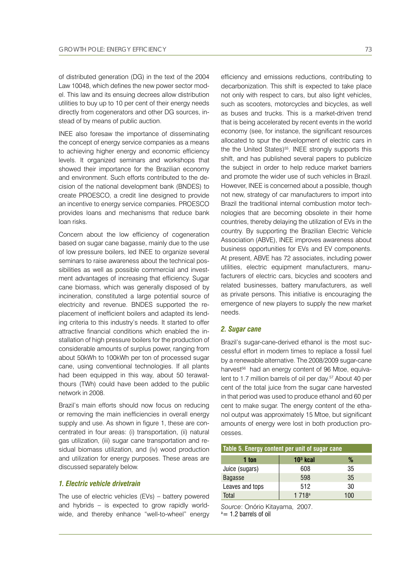of distributed generation (DG) in the text of the 2004 Law 10048, which defines the new power sector model. This law and its ensuing decrees allow distribution utilities to buy up to 10 per cent of their energy needs directly from cogenerators and other DG sources, instead of by means of public auction.

INEE also foresaw the importance of disseminating the concept of energy service companies as a means to achieving higher energy and economic efficiency levels. It organized seminars and workshops that showed their importance for the Brazilian economy and environment. Such efforts contributed to the decision of the national development bank (BNDES) to create PROESCO, a credit line designed to provide an incentive to energy service companies. PROESCO provides loans and mechanisms that reduce bank loan risks.

Concern about the low efficiency of cogeneration based on sugar cane bagasse, mainly due to the use of low pressure boilers, led INEE to organize several seminars to raise awareness about the technical possibilities as well as possible commercial and investment advantages of increasing that efficiency. Sugar cane biomass, which was generally disposed of by incineration, constituted a large potential source of electricity and revenue. BNDES supported the replacement of inefficient boilers and adapted its lending criteria to this industry's needs. It started to offer attractive financial conditions which enabled the installation of high pressure boilers for the production of considerable amounts of surplus power, ranging from about 50kWh to 100kWh per ton of processed sugar cane, using conventional technologies. If all plants had been equipped in this way, about 50 terawatthours (TWh) could have been added to the public network in 2008.

Brazil's main efforts should now focus on reducing or removing the main inefficiencies in overall energy supply and use. As shown in figure 1, these are concentrated in four areas: (i) transportation, (ii) natural gas utilization, (iii) sugar cane transportation and residual biomass utilization, and (iv) wood production and utilization for energy purposes. These areas are discussed separately below.

# *1. Electric vehicle drivetrain*

The use of electric vehicles (EVs) – battery powered and hybrids – is expected to grow rapidly worldwide, and thereby enhance "well-to-wheel" energy efficiency and emissions reductions, contributing to decarbonization. This shift is expected to take place not only with respect to cars, but also light vehicles, such as scooters, motorcycles and bicycles, as well as buses and trucks. This is a market-driven trend that is being accelerated by recent events in the world economy (see, for instance, the significant resources allocated to spur the development of electric cars in the the United States)<sup>55</sup>. INEE strongly supports this shift, and has published several papers to publicize the subject in order to help reduce market barriers and promote the wider use of such vehicles in Brazil. However, INEE is concerned about a possible, though not new, strategy of car manufacturers to import into Brazil the traditional internal combustion motor technologies that are becoming obsolete in their home countries, thereby delaying the utilization of EVs in the country. By supporting the Brazilian Electric Vehicle Association (ABVE), INEE improves awareness about business opportunities for EVs and EV components. At present, ABVE has 72 associates, including power utilities, electric equipment manufacturers, manufacturers of electric cars, bicycles and scooters and related businesses, battery manufacturers, as well as private persons. This initiative is encouraging the emergence of new players to supply the new market needs.

#### *2. Sugar cane*

Brazil's sugar-cane-derived ethanol is the most successful effort in modern times to replace a fossil fuel by a renewable alternative. The 2008/2009 sugar-cane harvest<sup>56</sup> had an energy content of 96 Mtoe, equivalent to 1.7 million barrels of oil per day.<sup>57</sup> About 40 per cent of the total juice from the sugar cane harvested in that period was used to produce ethanol and 60 per cent to make sugar. The energy content of the ethanol output was approximately 15 Mtoe, but significant amounts of energy were lost in both production processes.

| Table 5. Energy content per unit of sugar cane |            |     |  |
|------------------------------------------------|------------|-----|--|
| 1 ton                                          | $103$ kcal | %   |  |
| Juice (sugars)                                 | 608        | 35  |  |
| <b>Bagasse</b>                                 | 598        | 35  |  |
| Leaves and tops                                | 512        | 30  |  |
| <b>Total</b>                                   | 1718a      | 100 |  |

*Source*: Onório Kitayama, 2007.  $a=1.2$  barrels of oil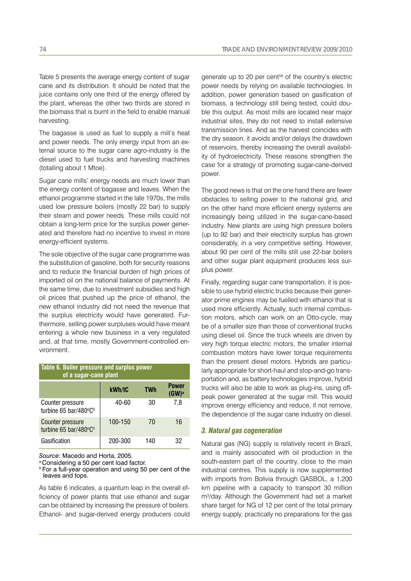Table 5 presents the average energy content of sugar cane and its distribution. It should be noted that the juice contains only one third of the energy offered by the plant, whereas the other two thirds are stored in the biomass that is burnt in the field to enable manual harvesting.

The bagasse is used as fuel to supply a mill's heat and power needs. The only energy input from an external source to the sugar cane agro-industry is the diesel used to fuel trucks and harvesting machines (totalling about 1 Mtoe).

Sugar cane mills' energy needs are much lower than the energy content of bagasse and leaves. When the ethanol programme started in the late 1970s, the mills used low pressure boilers (mostly 22 bar) to supply their steam and power needs. These mills could not obtain a long-term price for the surplus power generated and therefore had no incentive to invest in more energy-efficient systems.

The sole objective of the sugar cane programme was the substitution of gasoline, both for security reasons and to reduce the financial burden of high prices of imported oil on the national balance of payments. At the same time, due to investment subsidies and high oil prices that pushed up the price of ethanol, the new ethanol industry did not need the revenue that the surplus electricity would have generated. Furthermore, selling power surpluses would have meant entering a whole new business in a very regulated and, at that time, mostly Government-controlled environment.

| Table 6. Boiler pressure and surplus power<br>of a sugar-cane plant |         |            |                   |  |
|---------------------------------------------------------------------|---------|------------|-------------------|--|
|                                                                     | kWh/tC  | <b>TWh</b> | Power<br>$(GW)^a$ |  |
| Counter pressure<br>turbine 65 bar/480°C <sup>b</sup>               | 40-60   | 30         | 7,8               |  |
| <b>Counter pressure</b><br>turbine 65 bar/480°C <sup>b</sup>        | 100-150 | 70         | 16                |  |
| Gasification                                                        | 200-300 | 140        | 32                |  |

*Source*: Macedo and Horta, 2005.

a Considering a 50 per cent load factor.

**b** For a full-year operation and using 50 per cent of the leaves and tops.

As table 6 indicates, a quantum leap in the overall efficiency of power plants that use ethanol and sugar can be obtained by increasing the pressure of boilers. Ethanol- and sugar-derived energy producers could generate up to 20 per cent<sup>58</sup> of the country's electric power needs by relying on available technologies. In addition, power generation based on gasification of biomass, a technology still being tested, could double this output. As most mills are located near major industrial sites, they do not need to install extensive transmission lines. And as the harvest coincides with the dry season, it avoids and/or delays the drawdown of reservoirs, thereby increasing the overall availability of hydroelectricity. These reasons strengthen the case for a strategy of promoting sugar-cane-derived power.

The good news is that on the one hand there are fewer obstacles to selling power to the national grid, and on the other hand more efficient energy systems are increasingly being utilized in the sugar-cane-based industry. New plants are using high pressure boilers (up to 92 bar) and their electricity surplus has grown considerably, in a very competitive setting. However, about 90 per cent of the mills still use 22-bar boilers and other sugar plant equipment produces less surplus power.

Finally, regarding sugar cane transportation, it is possible to use hybrid electric trucks because their generator prime engines may be fuelled with ethanol that is used more efficiently. Actually, such internal combustion motors, which can work on an Otto-cycle, may be of a smaller size than those of conventional trucks using diesel oil. Since the truck wheels are driven by very high torque electric motors, the smaller internal combustion motors have lower torque requirements than the present diesel motors. Hybrids are particularly appropriate for short-haul and stop-and-go transportation and, as battery technologies improve, hybrid trucks will also be able to work as plug-ins, using offpeak power generated at the sugar mill. This would improve energy efficiency and reduce, if not remove, the dependence of the sugar cane industry on diesel.

### *3. Natural gas cogeneration*

Natural gas (NG) supply is relatively recent in Brazil, and is mainly associated with oil production in the south-eastern part of the country, close to the main industrial centres. This supply is now supplemented with imports from Bolivia through GASBOL, a 1,200 km pipeline with a capacity to transport 30 million m3 /day. Although the Government had set a market share target for NG of 12 per cent of the total primary energy supply, practically no preparations for the gas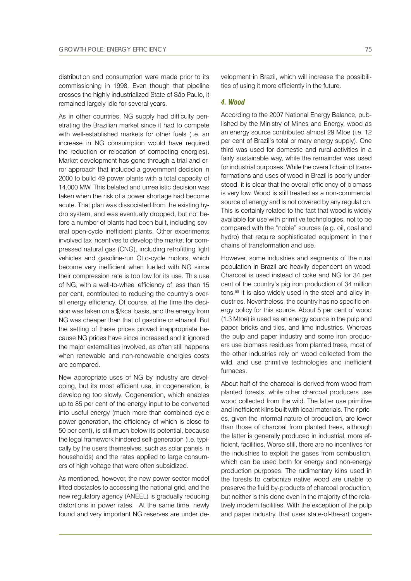distribution and consumption were made prior to its commissioning in 1998. Even though that pipeline crosses the highly industrialized State of São Paulo, it remained largely idle for several years.

As in other countries, NG supply had difficulty penetrating the Brazilian market since it had to compete with well-established markets for other fuels (i.e. an increase in NG consumption would have required the reduction or relocation of competing energies). Market development has gone through a trial-and-error approach that included a government decision in 2000 to build 49 power plants with a total capacity of 14,000 MW. This belated and unrealistic decision was taken when the risk of a power shortage had become acute. That plan was dissociated from the existing hydro system, and was eventually dropped, but not before a number of plants had been built, including several open-cycle inefficient plants. Other experiments involved tax incentives to develop the market for compressed natural gas (CNG), including retrofitting light vehicles and gasoline-run Otto-cycle motors, which become very inefficient when fuelled with NG since their compression rate is too low for its use. This use of NG, with a well-to-wheel efficiency of less than 15 per cent, contributed to reducing the country's overall energy efficiency. Of course, at the time the decision was taken on a \$/kcal basis, and the energy from NG was cheaper than that of gasoline or ethanol. But the setting of these prices proved inappropriate because NG prices have since increased and it ignored the major externalities involved, as often still happens when renewable and non-renewable energies costs are compared.

New appropriate uses of NG by industry are developing, but its most efficient use, in cogeneration, is developing too slowly. Cogeneration, which enables up to 85 per cent of the energy input to be converted into useful energy (much more than combined cycle power generation, the efficiency of which is close to 50 per cent), is still much below its potential, because the legal framework hindered self-generation (i.e. typically by the users themselves, such as solar panels in households) and the rates applied to large consumers of high voltage that were often subsidized.

As mentioned, however, the new power sector model lifted obstacles to accessing the national grid, and the new regulatory agency (ANEEL) is gradually reducing distortions in power rates. At the same time, newly found and very important NG reserves are under development in Brazil, which will increase the possibilities of using it more efficiently in the future.

# *4. Wood*

According to the 2007 National Energy Balance, published by the Ministry of Mines and Energy, wood as an energy source contributed almost 29 Mtoe (i.e. 12 per cent of Brazil's total primary energy supply). One third was used for domestic and rural activities in a fairly sustainable way, while the remainder was used for industrial purposes. While the overall chain of transformations and uses of wood in Brazil is poorly understood, it is clear that the overall efficiency of biomass is very low. Wood is still treated as a non-commercial source of energy and is not covered by any regulation. This is certainly related to the fact that wood is widely available for use with primitive technologies, not to be compared with the "noble" sources (e.g. oil, coal and hydro) that require sophisticated equipment in their chains of transformation and use.

However, some industries and segments of the rural population in Brazil are heavily dependent on wood. Charcoal is used instead of coke and NG for 34 per cent of the country's pig iron production of 34 million tons.59 It is also widely used in the steel and alloy industries. Nevertheless, the country has no specific energy policy for this source. About 5 per cent of wood (1.3 Mtoe) is used as an energy source in the pulp and paper, bricks and tiles, and lime industries. Whereas the pulp and paper industry and some iron producers use biomass residues from planted trees, most of the other industries rely on wood collected from the wild, and use primitive technologies and inefficient furnaces.

About half of the charcoal is derived from wood from planted forests, while other charcoal producers use wood collected from the wild. The latter use primitive and inefficient kilns built with local materials. Their prices, given the informal nature of production, are lower than those of charcoal from planted trees, although the latter is generally produced in industrial, more efficient, facilities. Worse still, there are no incentives for the industries to exploit the gases from combustion, which can be used both for energy and non-energy production purposes. The rudimentary kilns used in the forests to carbonize native wood are unable to preserve the fluid by-products of charcoal production, but neither is this done even in the majority of the relatively modern facilities. With the exception of the pulp and paper industry, that uses state-of-the-art cogen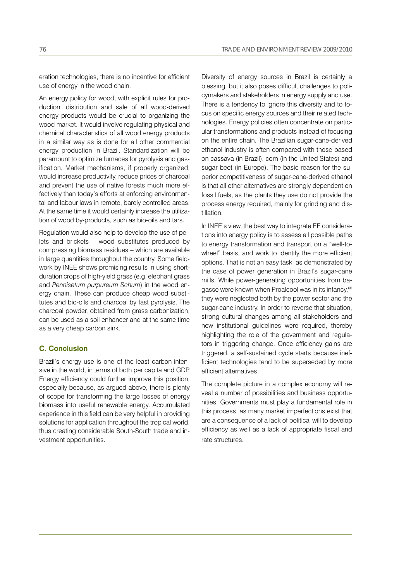eration technologies, there is no incentive for efficient use of energy in the wood chain.

An energy policy for wood, with explicit rules for production, distribution and sale of all wood-derived energy products would be crucial to organizing the wood market. It would involve regulating physical and chemical characteristics of all wood energy products in a similar way as is done for all other commercial energy production in Brazil. Standardization will be paramount to optimize furnaces for pyrolysis and gasification. Market mechanisms, if properly organized, would increase productivity, reduce prices of charcoal and prevent the use of native forests much more effectively than today's efforts at enforcing environmental and labour laws in remote, barely controlled areas. At the same time it would certainly increase the utilization of wood by-products, such as bio-oils and tars.

Regulation would also help to develop the use of pellets and brickets – wood substitutes produced by compressing biomass residues – which are available in large quantities throughout the country. Some fieldwork by INEE shows promising results in using shortduration crops of high-yield grass (e.g. elephant grass and *Pennisetum purpureum Schum*) in the wood energy chain. These can produce cheap wood substitutes and bio-oils and charcoal by fast pyrolysis. The charcoal powder, obtained from grass carbonization, can be used as a soil enhancer and at the same time as a very cheap carbon sink.

# **C. Conclusion**

Brazil's energy use is one of the least carbon-intensive in the world, in terms of both per capita and GDP. Energy efficiency could further improve this position, especially because, as argued above, there is plenty of scope for transforming the large losses of energy biomass into useful renewable energy. Accumulated experience in this field can be very helpful in providing solutions for application throughout the tropical world, thus creating considerable South-South trade and investment opportunities.

Diversity of energy sources in Brazil is certainly a blessing, but it also poses difficult challenges to policymakers and stakeholders in energy supply and use. There is a tendency to ignore this diversity and to focus on specific energy sources and their related technologies. Energy policies often concentrate on particular transformations and products instead of focusing on the entire chain. The Brazilian sugar-cane-derived ethanol industry is often compared with those based on cassava (in Brazil), corn (in the United States) and sugar beet (in Europe). The basic reason for the superior competitiveness of sugar-cane-derived ethanol is that all other alternatives are strongly dependent on fossil fuels, as the plants they use do not provide the process energy required, mainly for grinding and distillation.

In INEE's view, the best way to integrate EE considerations into energy policy is to assess all possible paths to energy transformation and transport on a "well-towheel" basis, and work to identify the more efficient options. That is not an easy task, as demonstrated by the case of power generation in Brazil's sugar-cane mills. While power-generating opportunities from bagasse were known when Proalcool was in its infancy,<sup>60</sup> they were neglected both by the power sector and the sugar-cane industry. In order to reverse that situation, strong cultural changes among all stakeholders and new institutional guidelines were required, thereby highlighting the role of the government and regulators in triggering change. Once efficiency gains are triggered, a self-sustained cycle starts because inefficient technologies tend to be superseded by more efficient alternatives.

The complete picture in a complex economy will reveal a number of possibilities and business opportunities. Governments must play a fundamental role in this process, as many market imperfections exist that are a consequence of a lack of political will to develop efficiency as well as a lack of appropriate fiscal and rate structures.